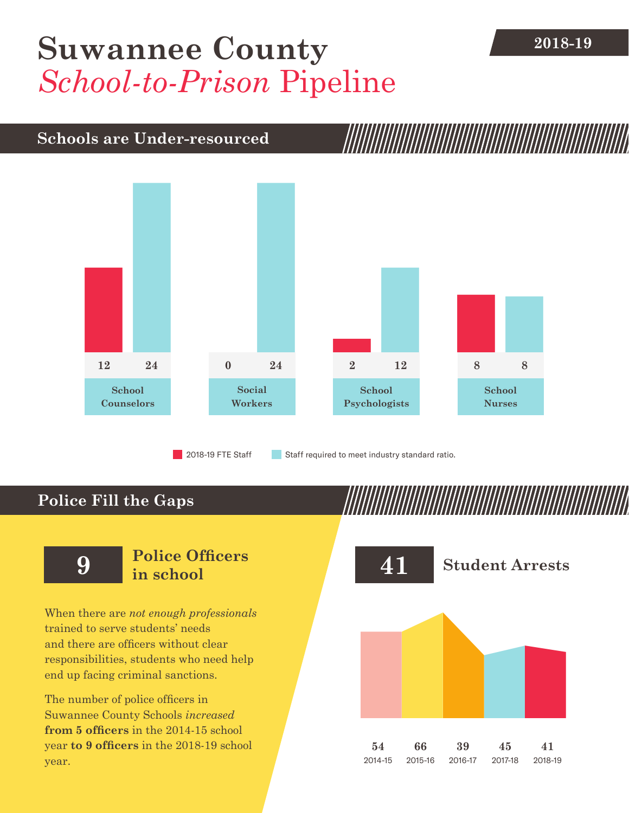## **2018-19 [Suwannee County](DBF_County)** *School-to-Prison* Pipeline

### **Schools are Under-resourced**



2018-19 FTE Staff **Staff required to meet industry standard ratio.** 

### **Police Fill the Gaps**

When there are *not enough professionals* trained to serve students' needs and there are officers without clear responsibilities, students who need help end up facing criminal sanctions.

The number of police officers in [Suwannee County](DBF_County) Schools *increased* **from [5](DBF_PO1415) officers** in the 2014-15 school year **to [9](DBF_PO) officers** in the 2018-19 school year.